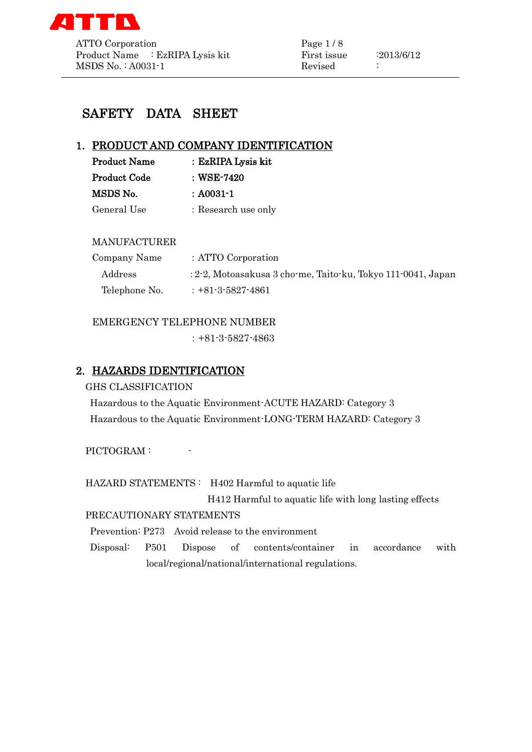

# SAFETY DATA SHEET

# 1. PRODUCT AND COMPANY IDENTIFICATION

| <b>Product Name</b> | : EzRIPA Lysis kit  |
|---------------------|---------------------|
| <b>Product Code</b> | : WSE-7420          |
| MSDS No.            | $: A0031 - 1$       |
| General Use         | : Research use only |

### MANUFACTURER

| Company Name  | : ATTO Corporation                                           |
|---------------|--------------------------------------------------------------|
| Address       | : 2-2, Motoasakusa 3 cho-me, Taito-ku, Tokyo 111-0041, Japan |
| Telephone No. | $: +81 - 3 - 5827 - 4861$                                    |

## EMERGENCY TELEPHONE NUMBER

:+81-3-5827-4863

# 2. HAZARDS IDENTIFICATION

### GHS CLASSIFICATION

Hazardous to the Aquatic Environment-ACUTE HAZARD: Category 3 Hazardous to the Aquatic Environment-LONG-TERM HAZARD: Category 3

PICTOGRAM :

HAZARD STATEMENTS : H402 Harmful to aquatic life

H412 Harmful to aquatic life with long lasting effects

# PRECAUTIONARY STATEMENTS

Prevention: P273 Avoid release to the environment

Disposal: P501 Dispose of contents/container in accordance with local/regional/national/international regulations.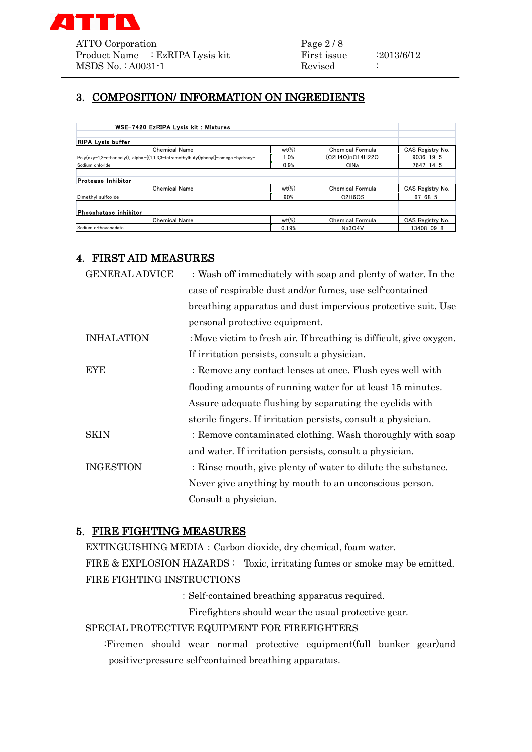

# 3. COMPOSITION/ INFORMATION ON INGREDIENTS

| WSE-7420 EzRIPA Lysis kit: Mixtures                                                   |                     |                                              |                  |
|---------------------------------------------------------------------------------------|---------------------|----------------------------------------------|------------------|
| <b>RIPA Lysis buffer</b>                                                              |                     |                                              |                  |
| <b>Chemical Name</b>                                                                  | $wt$ <sup>(%)</sup> | <b>Chemical Formula</b>                      | CAS Registry No. |
| Poly(oxy-1,2-ethanediyl), .alpha.-[(1,1,3,3-tetramethylbutyl)phenyl]-.omega.-hydroxy- | 1.0%                | (C2H4O)nC14H22O                              | $9036 - 19 - 5$  |
| Sodium chloride                                                                       | 0.9%                | CINa                                         | $7647 - 14 - 5$  |
| Protease Inhibitor                                                                    |                     |                                              |                  |
| <b>Chemical Name</b>                                                                  | $wt$ <sup>(%)</sup> | <b>Chemical Formula</b>                      | CAS Registry No. |
| Dimethyl sulfoxide                                                                    | 90%                 | C <sub>2</sub> H <sub>6</sub> O <sub>S</sub> | $67 - 68 - 5$    |
| Phosphatase inhibitor                                                                 |                     |                                              |                  |
| <b>Chemical Name</b>                                                                  | $wt$ (%)            | <b>Chemical Formula</b>                      | CAS Registry No. |
| Sodium orthovanadate                                                                  | 0.19%               | <b>Na3O4V</b>                                | $13408 - 09 - 8$ |

# 4. FIRST AID MEASURES

| <b>GENERAL ADVICE</b> | : Wash off immediately with soap and plenty of water. In the        |
|-----------------------|---------------------------------------------------------------------|
|                       | case of respirable dust and/or fumes, use self-contained            |
|                       | breathing apparatus and dust impervious protective suit. Use        |
|                       | personal protective equipment.                                      |
| <b>INHALATION</b>     | : Move victim to fresh air. If breathing is difficult, give oxygen. |
|                       | If irritation persists, consult a physician.                        |
| <b>EYE</b>            | : Remove any contact lenses at once. Flush eyes well with           |
|                       | flooding amounts of running water for at least 15 minutes.          |
|                       | Assure adequate flushing by separating the eyelids with             |
|                       | sterile fingers. If irritation persists, consult a physician.       |
| <b>SKIN</b>           | : Remove contaminated clothing. Wash thoroughly with soap           |
|                       | and water. If irritation persists, consult a physician.             |
| <b>INGESTION</b>      | : Rinse mouth, give plenty of water to dilute the substance.        |
|                       | Never give anything by mouth to an unconscious person.              |
|                       | Consult a physician.                                                |

# 5. FIRE FIGHTING MEASURES

EXTINGUISHING MEDIA:Carbon dioxide, dry chemical, foam water. FIRE & EXPLOSION HAZARDS : Toxic, irritating fumes or smoke may be emitted. FIRE FIGHTING INSTRUCTIONS

:Self-contained breathing apparatus required.

Firefighters should wear the usual protective gear.

### SPECIAL PROTECTIVE EQUIPMENT FOR FIREFIGHTERS

:Firemen should wear normal protective equipment(full bunker gear)and positive-pressure self-contained breathing apparatus.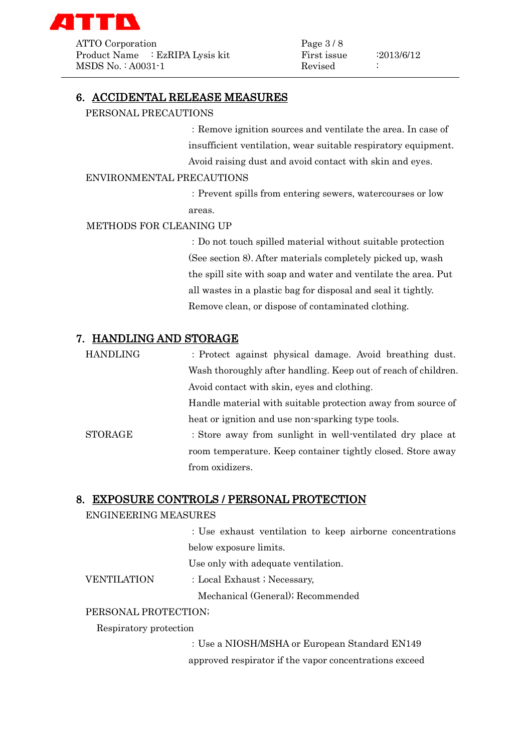

ATTO Corporation Page 3/8 Product Name : EzRIPA Lysis kit First issue : 2013/6/12 MSDS No. : A0031-1 Revised

### 6. ACCIDENTAL RELEASE MEASURES

PERSONAL PRECAUTIONS

:Remove ignition sources and ventilate the area. In case of insufficient ventilation, wear suitable respiratory equipment. Avoid raising dust and avoid contact with skin and eyes.

#### ENVIRONMENTAL PRECAUTIONS

:Prevent spills from entering sewers, watercourses or low areas.

#### METHODS FOR CLEANING UP

:Do not touch spilled material without suitable protection (See section 8). After materials completely picked up, wash the spill site with soap and water and ventilate the area. Put all wastes in a plastic bag for disposal and seal it tightly. Remove clean, or dispose of contaminated clothing.

### 7. HANDLING AND STORAGE

HANDLING :Protect against physical damage. Avoid breathing dust. Wash thoroughly after handling. Keep out of reach of children. Avoid contact with skin, eyes and clothing. Handle material with suitable protection away from source of heat or ignition and use non-sparking type tools. STORAGE : Store away from sunlight in well-ventilated dry place at room temperature. Keep container tightly closed. Store away from oxidizers.

#### 8. EXPOSURE CONTROLS / PERSONAL PROTECTION

#### ENGINEERING MEASURES

:Use exhaust ventilation to keep airborne concentrations below exposure limits.

Use only with adequate ventilation.

VENTILATION : Local Exhaust ; Necessary,

Mechanical (General); Recommended

#### PERSONAL PROTECTION;

Respiratory protection

:Use a NIOSH/MSHA or European Standard EN149 approved respirator if the vapor concentrations exceed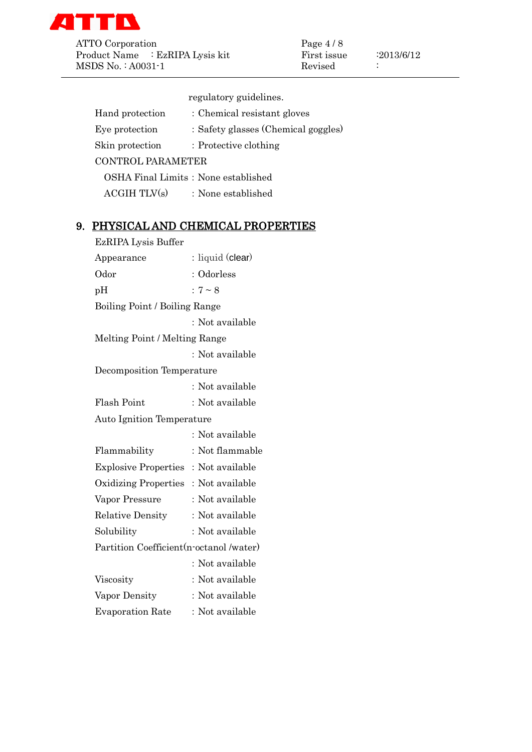

ATTO Corporation Page 4 / 8<br>Product Name : EzRIPA Lysis kit First issue Product Name : EzRIPA Lysis kit First issue :2013/6/12 MSDS No.: A0031-1 Revised :

regulatory guidelines.

| Hand protection                 | : Chemical resistant gloves          |
|---------------------------------|--------------------------------------|
| Eye protection                  | : Safety glasses (Chemical goggles)  |
| Skin protection                 | : Protective clothing                |
| <b>CONTROL PARAMETER</b>        |                                      |
|                                 | OSHA Final Limits : None established |
| $\text{ACGIH}$ TLV $\text{(s)}$ | : None established                   |

# 9. PHYSICAL AND CHEMICAL PROPERTIES

| EzRIPA Lysis Buffer                      |                  |
|------------------------------------------|------------------|
| Appearance                               | : liquid (clear) |
| Odor                                     | : Odorless       |
| pH                                       | $:7 \sim 8$      |
| Boiling Point / Boiling Range            |                  |
|                                          | : Not available  |
| Melting Point / Melting Range            |                  |
|                                          | : Not available  |
| Decomposition Temperature                |                  |
|                                          | : Not available  |
| Flash Point                              | : Not available  |
| <b>Auto Ignition Temperature</b>         |                  |
|                                          | : Not available  |
| Flammability                             | : Not flammable  |
| Explosive Properties: Not available      |                  |
| Oxidizing Properties: Not available      |                  |
| Vapor Pressure                           | : Not available  |
| <b>Relative Density</b>                  | : Not available  |
| Solubility                               | : Not available  |
| Partition Coefficient (n-octanol /water) |                  |
|                                          | : Not available  |
| Viscosity                                | : Not available  |
| Vapor Density                            | : Not available  |
| <b>Evaporation Rate</b>                  | : Not available  |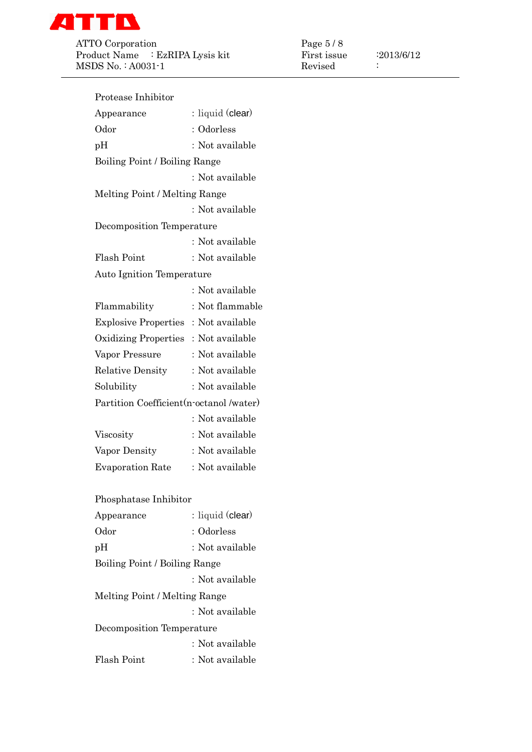

ATTO Corporation<br>Product Name : EzRIPA Lysis kit First issue<br>First issue Product Name : EzRIPA Lysis kit First issue :2013/6/12 MSDS No. : A0031-1 Revised :

| Protease Inhibitor                       |                  |
|------------------------------------------|------------------|
| Appearance                               | : liquid (clear) |
| Odor                                     | : Odorless       |
| pH                                       | : Not available  |
| Boiling Point / Boiling Range            |                  |
|                                          | : Not available  |
| Melting Point / Melting Range            |                  |
|                                          | : Not available  |
| Decomposition Temperature                |                  |
|                                          | : Not available  |
| Flash Point                              | : Not available  |
| <b>Auto Ignition Temperature</b>         |                  |
|                                          | : Not available  |
| Flammability                             | : Not flammable  |
| Explosive Properties: Not available      |                  |
| Oxidizing Properties: Not available      |                  |
| Vapor Pressure                           | : Not available  |
| <b>Relative Density</b>                  | : Not available  |
| Solubility                               | : Not available  |
| Partition Coefficient (n-octanol /water) |                  |
|                                          | : Not available  |
| Viscosity                                | : Not available  |
| Vapor Density                            | : Not available  |
| <b>Evaporation Rate</b>                  | : Not available  |
|                                          |                  |
| Phosphatase Inhibitor                    |                  |
| Appearance                               | : liquid (clear) |
| Odor                                     | : Odorless       |
| nΗ                                       | : Not available  |

| Odor                          | : Odorless      |
|-------------------------------|-----------------|
| pH                            | : Not available |
| Boiling Point / Boiling Range |                 |

:Not available Melting Point / Melting Range :Not available Decomposition Temperature :Not available Flash Point : Not available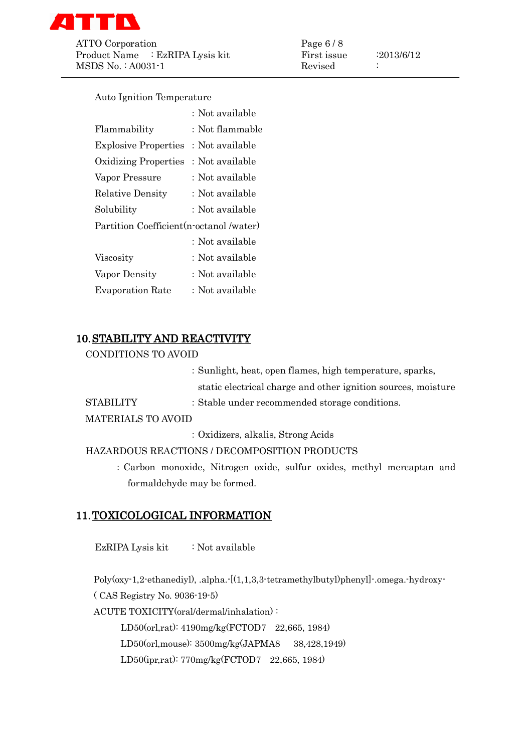

ATTO Corporation Page 6 / 8 Product Name : EzRIPA Lysis kit First issue : 2013/6/12 MSDS No. : A0031-1 Revised :

Auto Ignition Temperature

|                                          | : Not available |
|------------------------------------------|-----------------|
| Flammability                             | : Not flammable |
| <b>Explosive Properties</b>              | : Not available |
| <b>Oxidizing Properties</b>              | : Not available |
| Vapor Pressure                           | : Not available |
| <b>Relative Density</b>                  | : Not available |
| Solubility                               | : Not available |
| Partition Coefficient (n-octanol /water) |                 |
|                                          | : Not available |
| Viscosity                                | : Not available |
| Vapor Density                            | : Not available |
| <b>Evaporation Rate</b>                  | : Not available |

# 10.STABILITY AND REACTIVITY

CONDITIONS TO AVOID

|           | : Sunlight, heat, open flames, high temperature, sparks,      |
|-----------|---------------------------------------------------------------|
|           | static electrical charge and other ignition sources, moisture |
| STABILITY | : Stable under recommended storage conditions.                |

MATERIALS TO AVOID

:Oxidizers, alkalis, Strong Acids

HAZARDOUS REACTIONS / DECOMPOSITION PRODUCTS

:Carbon monoxide, Nitrogen oxide, sulfur oxides, methyl mercaptan and formaldehyde may be formed.

# 11.TOXICOLOGICAL INFORMATION

EzRIPA Lysis kit : Not available

Poly(oxy-1,2-ethanediyl), .alpha.-[(1,1,3,3-tetramethylbutyl)phenyl]-.omega.-hydroxy-

( CAS Registry No. 9036-19-5)

ACUTE TOXICITY(oral/dermal/inhalation) :

LD50(orl,rat): 4190mg/kg(FCTOD7 22,665, 1984)

LD50(orl,mouse): 3500mg/kg(JAPMA8 38,428,1949)

LD50(ipr,rat): 770mg/kg(FCTOD7 22,665, 1984)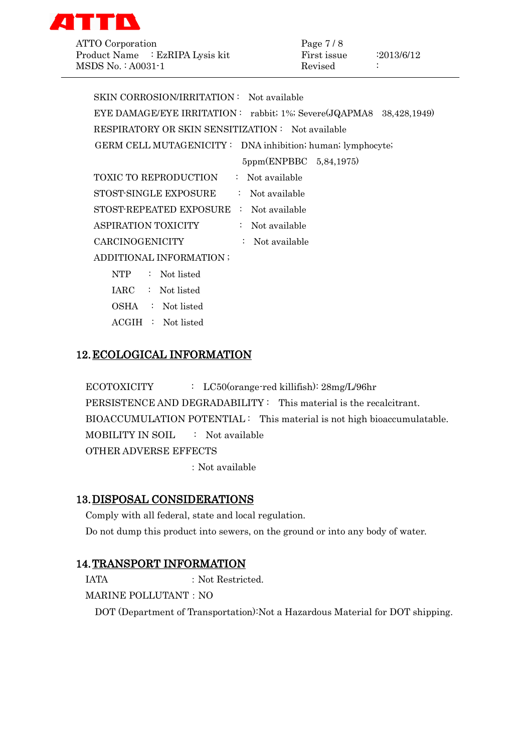

ATTO Corporation Product Name : EzRIPA Lysis kit MSDS No.: A0031-1

| Page 7 / 8  |            |
|-------------|------------|
| First issue | :2013/6/12 |
| Revised     |            |

| SKIN CORROSION/IRRITATION: Not available                           |
|--------------------------------------------------------------------|
| EYE DAMAGE/EYE IRRITATION: rabbit; 1%; Severe(JQAPMA8 38,428,1949) |
| RESPIRATORY OR SKIN SENSITIZATION: Not available                   |
| GERM CELL MUTAGENICITY: DNA inhibition; human; lymphocyte;         |
| 5ppm(ENPBBC 5,84,1975)                                             |
| TOXIC TO REPRODUCTION<br>: Not available                           |
| STOST-SINGLE EXPOSURE<br>$\therefore$ Not available                |
| STOST-REPEATED EXPOSURE : Not available                            |
| ASPIRATION TOXICITY<br>$:$ Not available                           |
| CARCINOGENICITY<br>: Not available                                 |
| ADDITIONAL INFORMATION ;                                           |
| $:$ Not listed<br><b>NTP</b>                                       |

- IARC : Not listed
- OSHA : Not listed
- ACGIH : Not listed

# 12.ECOLOGICAL INFORMATION

ECOTOXICITY : LC50(orange-red killifish):  $28mg/L/96hr$ PERSISTENCE AND DEGRADABILITY : This material is the recalcitrant. BIOACCUMULATION POTENTIAL : This material is not high bioaccumulatable. MOBILITY IN SOIL : Not available OTHER ADVERSE EFFECTS

:Not available

# 13.DISPOSAL CONSIDERATIONS

Comply with all federal, state and local regulation. Do not dump this product into sewers, on the ground or into any body of water.

# 14.TRANSPORT INFORMATION

IATA : Not Restricted.

**MARINE POLLUTANT: NO** 

DOT (Department of Transportation):Not a Hazardous Material for DOT shipping.